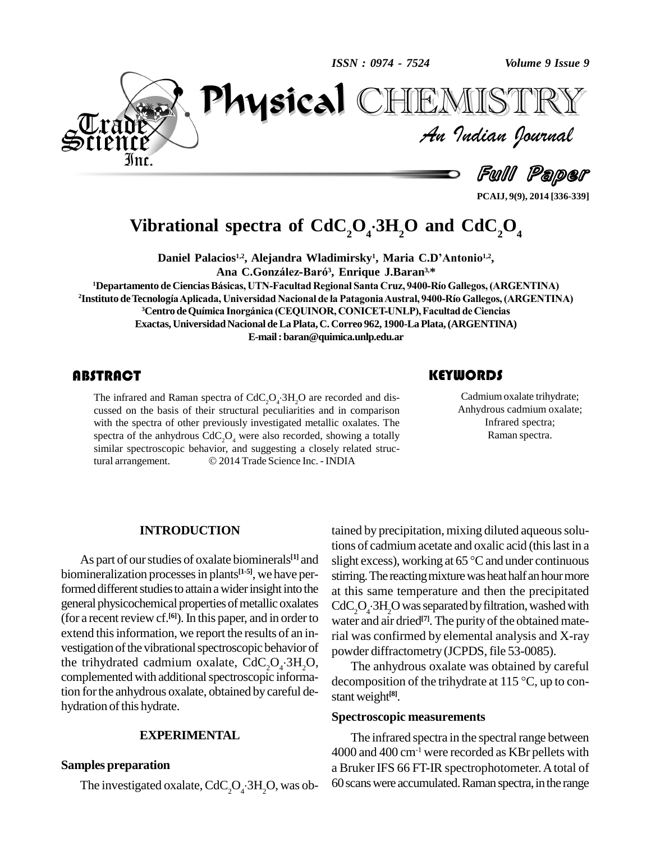ISSN: 0974 - 7524

Volume 9 Issue 9



Physical IEMISTR An Indian Journal

Full Paper

# Vibrational spectra of  $CdC_2O_4$ . 3H<sub>2</sub>O and  $CdC_2O_4$

Daniel Palacios<sup>1,2</sup>, Alejandra Wladimirsky<sup>1</sup>, Maria C.D'Antonio<sup>1,2</sup>, Ana C.González-Baró<sup>3</sup>, Enrique J.Baran<sup>3,\*</sup>

<sup>1</sup>Departamento de Ciencias Básicas, UTN-Facultad Regional Santa Cruz, 9400-Río Gallegos, (ARGENTINA) <sup>2</sup>Instituto de Tecnología Aplicada, Universidad Nacional de la Patagonia Austral, 9400-Río Gallegos, (ARGENTINA) <sup>3</sup> Centro de Química Inorgánica (CEQUINOR, CONICET-UNLP), Facultad de Ciencias Exactas, Universidad Nacional de La Plata, C. Correo 962, 1900-La Plata, (ARGENTINA) E-mail: baran@quimica.unlp.edu.ar

## **ABSTRACT**

The infrared and Raman spectra of  $CdC_2O_4·3H_2O$  are recorded and discussed on the basis of their structural peculiarities and in comparison with the spectra of other previously investigated metallic oxalates. The spectra of the anhydrous  $CdC_2O_4$  were also recorded, showing a totally similar spectroscopic behavior, and suggesting a closely related struc-© 2014 Trade Science Inc. - INDIA tural arrangement.

## **KEYWORDS**

Cadmium oxalate trihydrate; Anhydrous cadmium oxalate; Infrared spectra; Raman spectra.

#### **INTRODUCTION**

As part of our studies of oxalate biominerals<sup>[1]</sup> and biomineralization processes in plants<sup>[1-5]</sup>, we have performed different studies to attain a wider insight into the general physicochemical properties of metallic oxalates (for a recent review cf. $[6]$ ). In this paper, and in order to extend this information, we report the results of an investigation of the vibrational spectroscopic behavior of the trihydrated cadmium oxalate,  $CdC_1O_1·3H_2O$ , complemented with additional spectroscopic information for the anhydrous oxalate, obtained by careful dehydration of this hydrate.

## **EXPERIMENTAL**

### **Samples preparation**

The investigated oxalate,  $CdC_2O_4$ :  $3H_2O$ , was ob-

tained by precipitation, mixing diluted aqueous solutions of cadmium acetate and oxalic acid (this last in a slight excess), working at 65 °C and under continuous stirring. The reacting mixture was heat half an hour more at this same temperature and then the precipitated  $CdC_2O_1·3H_2O$  was separated by filtration, washed with water and air dried<sup>[7]</sup>. The purity of the obtained material was confirmed by elemental analysis and X-ray powder diffractometry (JCPDS, file 53-0085).

The anhydrous oxalate was obtained by careful decomposition of the trihydrate at 115  $\degree$ C, up to constant weight<sup>[8]</sup>.

#### **Spectroscopic measurements**

The infrared spectra in the spectral range between  $4000$  and  $400$  cm<sup>-1</sup> were recorded as KBr pellets with a Bruker IFS 66 FT-IR spectrophotometer. A total of 60 scans were accumulated. Raman spectra, in the range

PCAIJ, 9(9), 2014 [336-339]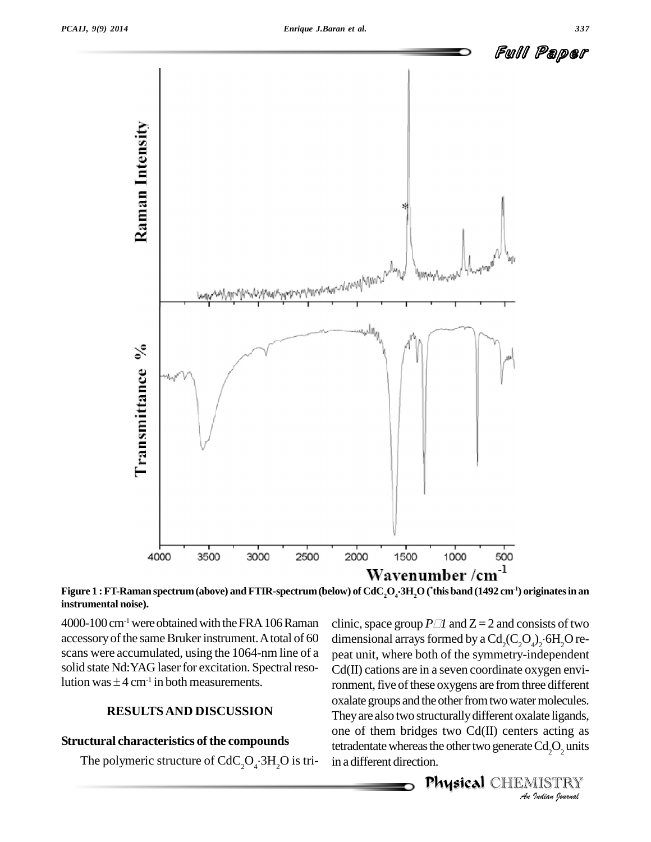

Figure  $1$  : FT-Raman spectrum (above) and FTIR-spectrum (below) of CdC<sub>2</sub>O<sub>4</sub>·3H<sub>2</sub>O (\*this band (1492 cm<sup>-1</sup>) originates in an **instrumental noise).**

 $4000-100$  cm<sup>-1</sup> were obtained with the FRA 106 Raman accessory of the same Bruker instrument. A total of 60 scans were accumulated, using the 1064-nm line of a peat unit, where both of the symmetry-independent solid state Nd: YAG laser for excitation. Spectral resoscans were accumulated<br>solid state Nd:YAG laser<br>lution was  $\pm 4$  cm<sup>-1</sup> in bo lution was  $\pm 4$  cm<sup>-1</sup> in both measurements.

## **RESULTSAND DISCUSSION**

#### **Structural characteristics of the compounds**

The polymeric structure of  $CdC_2O_4$  $·3H_2O$  is tri- in ad

oxalate groups and the other from two water molecules. *Indicates:*<br>*Iate ligands,*<br>*Sacting as*<br>*Cd<sub>2</sub>O<sub>2</sub> units*<br>*IISTRY* clinic, space group  $P \Box I$  and  $Z = 2$  and consists of two dimensional arrays formed by a  $Cd_2(C_2O_4)_2$  6H<sub>2</sub>O repeat unit, where both of the symmetry-independent Cd(II) cations are in a seven coordinate oxygen environment, five of these oxygens are from three different They are also two structurally different oxalate ligands, one of them bridges two Cd(II) centers acting as tetradentate whereas the other two generate  $Cd<sub>2</sub>O<sub>2</sub>$  units in a different direction.

<del>...</del><br>**Physical** CHEMISTRY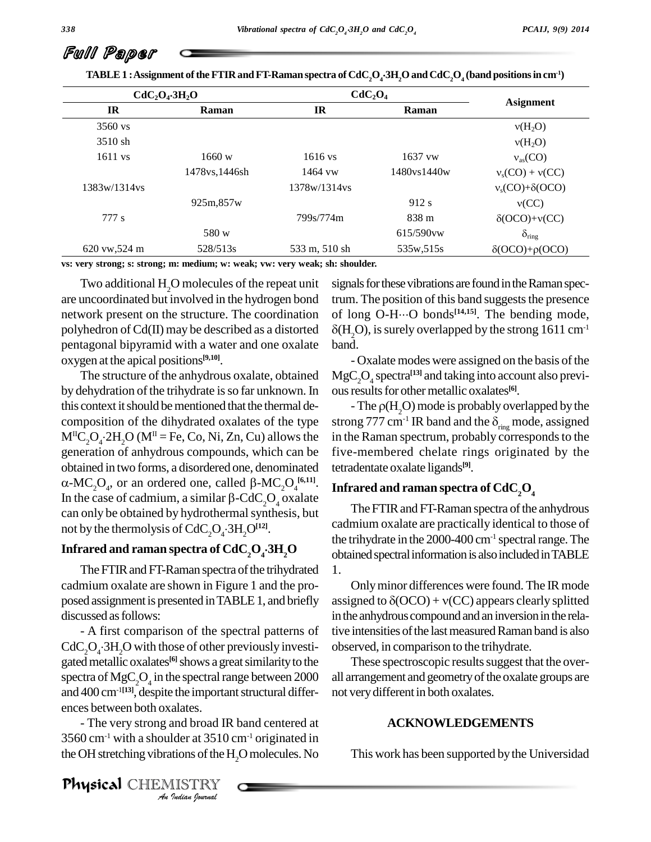l

| $CdC2O4·3H2O$      |               | CdC <sub>2</sub> O <sub>4</sub> |                  |                             |
|--------------------|---------------|---------------------------------|------------------|-----------------------------|
| <b>IR</b>          | Raman         | $_{\rm IR}$                     | Raman            | <b>Asignment</b>            |
| $3560 \text{ vs.}$ |               |                                 |                  | v(H <sub>2</sub> O)         |
| $3510 \,$ sh       |               |                                 |                  | $v(H_2O)$                   |
| $1611$ vs          | 1660 w        | $1616$ vs                       | 1637 vw          | $v_{\rm as}({\rm CO})$      |
|                    | 1478vs.1446sh | 1464 vw                         | 1480ys1440w      | $v_s(CO) + v(CC)$           |
| 1383w/1314vs       |               | 1378w/1314vs                    |                  | $v_s(CO) + \delta (OCO)$    |
|                    | 925m,857w     |                                 | 912 s            | v(CC)                       |
| 777 s              |               | 799s/774m                       | 838 <sub>m</sub> | $\delta (OCO)+\nu (CC)$     |
|                    | 580 w         |                                 | $615/590$ vw     | $\delta_{\text{ring}}$      |
| 620 vw, 524 m      | 528/513s      | 533 m, 510 sh                   | 535w, 515s       | $\delta (OCO) + \rho (OCO)$ |

**vs: very strong; s: strong; m: medium; w: weak; vw: very weak; sh: shoulder.**

Two additional H<sub>2</sub>O molecules of the repeat unit are uncoordinated but involved in the hydrogen bond network present on the structure. The coordination polyhedron of Cd(II) may be described as a distorted pentagonal bipyramid with a water and one oxalate oxygen at the apical positions **[9,10]**.

The structure of the anhydrous oxalate, obtained by dehydration of the trihydrate is so far unknown. In this context it should be mentioned that the thermal decomposition of the dihydrated oxalates of the type  $M^{\text{II}}C_2O_4$ :2H<sub>2</sub>O (M<sup>II</sup> = Fe, Co, Ni, Zn, Cu) allows the in the generation of anhydrous compounds, which can be obtained in two forms, a disordered one, denominated -MC<sub>2</sub>O<sub>4</sub>, or an ordered one, called β-MC<sub>2</sub>O<sub>4</sub><sup>[6,11]</sup>. In n of anhydrous compounds, which can be<br>n two forms, a disordered one, denominated<br>, or an ordered one, called  $\beta$ -MC<sub>2</sub>O<sub>4</sub><sup>(6,11)</sup>. obtained in two forms, a disordered one, denominated tetraded  $\alpha$ -MC<sub>2</sub>O<sub>4</sub>, or an ordered one, called  $\beta$ -MC<sub>2</sub>O<sub>4</sub><sup>[6,11]</sup>. **Infra**<br>In the case of cadmium, a similar  $\beta$ -CdC<sub>2</sub>O<sub>4</sub> oxalate can only be obtained by hydrothermal synthesis, but not by the thermolysis of  $CdC_2O_4$  $·3H_2O^{[12]}$ . In the case of cadmium, a similar  $\beta$ -CdC<sub>2</sub>O<sub>4</sub> oxalate

## Infrared and raman spectra of  $CdC_1O_4$ **3H**, O

The FTIR and FT-Raman spectra of the trihydrated cadmium oxalate are shown in Figure 1 and the pro posed assignment is presented in TABLE 1, and briefly discussed asfollows:

*An*ences between both oxalates. - A first comparison of the spectral patterns of  $CdC_2O_4$  3H<sub>2</sub>O with those of other previously investi- $CdC<sub>2</sub>O<sub>4</sub>$ :  $3H<sub>2</sub>O$  with those of other previously investi-<br>gated metallic oxalates<sup>[6]</sup> shows a great similarity to the spectra of  $MgC_2O_4$  in the spectral range between 2000 all arrai and 400 cm<sup>-1[13]</sup>, despite the important structural differ-

alates.<br>**Ider at 3510**<br>**IISTRY**<br>IISTRY - The very strong and broad IR band centered at  $3560$  cm<sup>-1</sup> with a shoulder at  $3510$  cm<sup>-1</sup> originated in the OH stretching vibrations of the H<sub>2</sub>O molecules. No signals for these vibrations are found in the Raman spectrum. The position of this band suggests the presence signals for these vibrations are found in the Raman spectrum. The position of this band suggests the presence<br>of long O-H…O bonds<sup>[14,15]</sup>. The bending mode,  $\delta(H, O)$ , is surely overlapped by the strong 1611 cm<sup>-1</sup>

- Oxalate modes were assigned on the basis of the  ${ {\rm MgC}_2{\rm O}_4}$  spectra<sup>[13]</sup> and taking into account also previous results for other metallic oxalates<sup>[6]</sup>.

- The  $\rho(H, O)$  mode is probably overlapped by the ous results for other metallic oxalates<sup>[6]</sup>.<br>- The  $\rho(H_2O)$  mode is probably overlapped by the strong 777 cm<sup>-1</sup> IR band and the  $\delta_{\text{ring}}$  mode, assigned in the Raman spectrum, probably corresponds to the five-membered chelate rings originated by the tetradentate oxalate ligands **[9]**.

## **Infrared and raman spectra of CdC2O<sup>4</sup>**

 $\overline{3H}$ <sub>2</sub> $\overline{O}$  obtained spectral information is also included in TABLE The FTIR and FT-Raman spectra of the anhydrous cadmium oxalate are practically identical to those of the trihydrate in the  $2000-400$  cm<sup>-1</sup> spectral range. The 1.

> Onlyminor differences were found. The IR mode assigned to  $\delta (OCO) + v(CC)$  appears clearly splitted in the anhydrous compound and an inversion in the relative intensities of the last measured Raman band is also observed, in comparison to the trihydrate.

> These spectroscopic results suggest that the overall arrangement and geometryofthe oxalate groups are not very different in both oxalates.

#### **ACKNOWLEDGEMENTS**

This work has been supported bythe Universidad

Full Paper

Physical CHEMISTRY